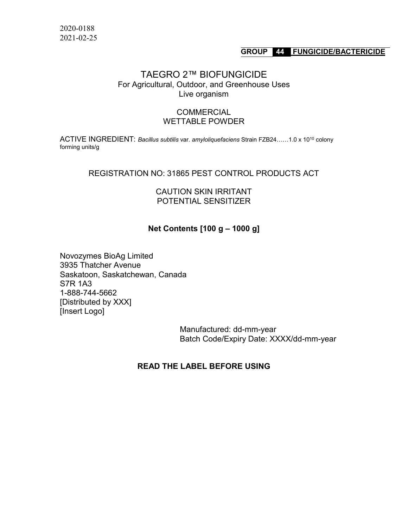### **GROUP 44 FUNGICIDE/BACTERICIDE**

# TAEGRO 2™ BIOFUNGICIDE For Agricultural, Outdoor, and Greenhouse Uses Live organism

### **COMMERCIAL** WETTABLE POWDER

ACTIVE INGREDIENT: *Bacillus subtilis* var. *amyloliquefaciens* Strain FZB24……1.0 x 1010 colony forming units/g

### REGISTRATION NO: 31865 PEST CONTROL PRODUCTS ACT

### CAUTION SKIN IRRITANT POTENTIAL SENSITIZER

## **Net Contents [100 g – 1000 g]**

Novozymes BioAg Limited 3935 Thatcher Avenue Saskatoon, Saskatchewan, Canada S7R 1A3 1-888-744-5662 [Distributed by XXX] [Insert Logo]

> Manufactured: dd-mm-year Batch Code/Expiry Date: XXXX/dd-mm-year

## **READ THE LABEL BEFORE USING**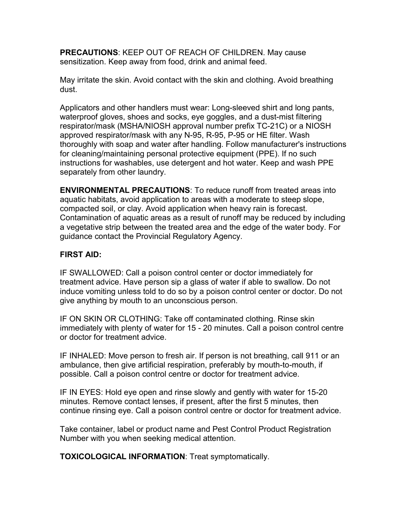**PRECAUTIONS**: KEEP OUT OF REACH OF CHILDREN. May cause sensitization. Keep away from food, drink and animal feed.

May irritate the skin. Avoid contact with the skin and clothing. Avoid breathing dust.

Applicators and other handlers must wear: Long-sleeved shirt and long pants, waterproof gloves, shoes and socks, eye goggles, and a dust-mist filtering respirator/mask (MSHA/NIOSH approval number prefix TC-21C) or a NIOSH approved respirator/mask with any N-95, R-95, P-95 or HE filter. Wash thoroughly with soap and water after handling. Follow manufacturer's instructions for cleaning/maintaining personal protective equipment (PPE). If no such instructions for washables, use detergent and hot water. Keep and wash PPE separately from other laundry.

**ENVIRONMENTAL PRECAUTIONS**: To reduce runoff from treated areas into aquatic habitats, avoid application to areas with a moderate to steep slope, compacted soil, or clay. Avoid application when heavy rain is forecast. Contamination of aquatic areas as a result of runoff may be reduced by including a vegetative strip between the treated area and the edge of the water body. For guidance contact the Provincial Regulatory Agency.

# **FIRST AID:**

IF SWALLOWED: Call a poison control center or doctor immediately for treatment advice. Have person sip a glass of water if able to swallow. Do not induce vomiting unless told to do so by a poison control center or doctor. Do not give anything by mouth to an unconscious person.

IF ON SKIN OR CLOTHING: Take off contaminated clothing. Rinse skin immediately with plenty of water for 15 - 20 minutes. Call a poison control centre or doctor for treatment advice.

IF INHALED: Move person to fresh air. If person is not breathing, call 911 or an ambulance, then give artificial respiration, preferably by mouth-to-mouth, if possible. Call a poison control centre or doctor for treatment advice.

IF IN EYES: Hold eye open and rinse slowly and gently with water for 15-20 minutes. Remove contact lenses, if present, after the first 5 minutes, then continue rinsing eye. Call a poison control centre or doctor for treatment advice.

Take container, label or product name and Pest Control Product Registration Number with you when seeking medical attention.

**TOXICOLOGICAL INFORMATION**: Treat symptomatically.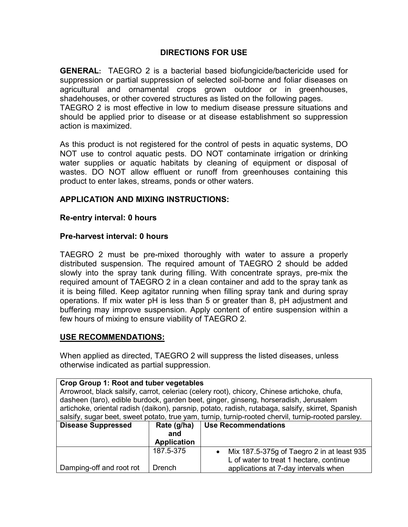# **DIRECTIONS FOR USE**

**GENERAL:** TAEGRO 2 is a bacterial based biofungicide/bactericide used for suppression or partial suppression of selected soil-borne and foliar diseases on agricultural and ornamental crops grown outdoor or in greenhouses, shadehouses, or other covered structures as listed on the following pages. TAEGRO 2 is most effective in low to medium disease pressure situations and

should be applied prior to disease or at disease establishment so suppression action is maximized.

As this product is not registered for the control of pests in aquatic systems, DO NOT use to control aquatic pests. DO NOT contaminate irrigation or drinking water supplies or aquatic habitats by cleaning of equipment or disposal of wastes. DO NOT allow effluent or runoff from greenhouses containing this product to enter lakes, streams, ponds or other waters.

# **APPLICATION AND MIXING INSTRUCTIONS:**

## **Re-entry interval: 0 hours**

## **Pre-harvest interval: 0 hours**

TAEGRO 2 must be pre-mixed thoroughly with water to assure a properly distributed suspension. The required amount of TAEGRO 2 should be added slowly into the spray tank during filling. With concentrate sprays, pre-mix the required amount of TAEGRO 2 in a clean container and add to the spray tank as it is being filled. Keep agitator running when filling spray tank and during spray operations. If mix water pH is less than 5 or greater than 8, pH adjustment and buffering may improve suspension. Apply content of entire suspension within a few hours of mixing to ensure viability of TAEGRO 2.

# **USE RECOMMENDATIONS:**

When applied as directed, TAEGRO 2 will suppress the listed diseases, unless otherwise indicated as partial suppression.

| Crop Group 1: Root and tuber vegetables |                                                                                              |                                                                                                    |  |  |
|-----------------------------------------|----------------------------------------------------------------------------------------------|----------------------------------------------------------------------------------------------------|--|--|
|                                         | Arrowroot, black salsify, carrot, celeriac (celery root), chicory, Chinese artichoke, chufa, |                                                                                                    |  |  |
|                                         |                                                                                              | dasheen (taro), edible burdock, garden beet, ginger, ginseng, horseradish, Jerusalem               |  |  |
|                                         |                                                                                              | artichoke, oriental radish (daikon), parsnip, potato, radish, rutabaga, salsify, skirret, Spanish  |  |  |
|                                         |                                                                                              | salsify, sugar beet, sweet potato, true yam, turnip, turnip-rooted chervil, turnip-rooted parsley. |  |  |
| <b>Disease Suppressed</b>               | Rate (g/ha)                                                                                  | Use Recommendations                                                                                |  |  |
|                                         | and                                                                                          |                                                                                                    |  |  |
|                                         | <b>Application</b>                                                                           |                                                                                                    |  |  |
|                                         | 187.5-375                                                                                    | Mix 187.5-375g of Taegro 2 in at least 935                                                         |  |  |
|                                         |                                                                                              | L of water to treat 1 hectare, continue                                                            |  |  |
| Damping-off and root rot                | Drench                                                                                       | applications at 7-day intervals when                                                               |  |  |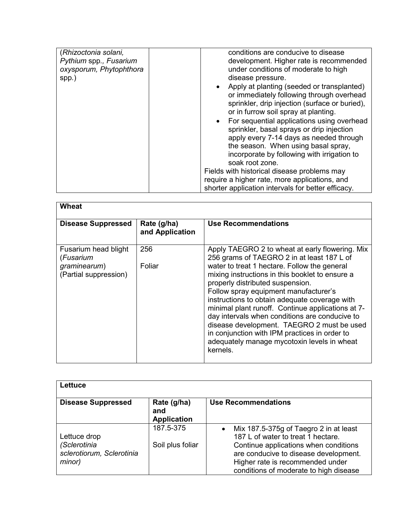| (Rhizoctonia solani,<br>Pythium spp., Fusarium<br>oxysporum, Phytophthora<br>spp.) | conditions are conducive to disease<br>development. Higher rate is recommended<br>under conditions of moderate to high<br>disease pressure.<br>Apply at planting (seeded or transplanted)<br>or immediately following through overhead<br>sprinkler, drip injection (surface or buried), |
|------------------------------------------------------------------------------------|------------------------------------------------------------------------------------------------------------------------------------------------------------------------------------------------------------------------------------------------------------------------------------------|
|                                                                                    | or in furrow soil spray at planting.<br>For sequential applications using overhead<br>sprinkler, basal sprays or drip injection<br>apply every 7-14 days as needed through<br>the season. When using basal spray,<br>incorporate by following with irrigation to                         |
|                                                                                    | soak root zone.<br>Fields with historical disease problems may<br>require a higher rate, more applications, and<br>shorter application intervals for better efficacy.                                                                                                                    |

| <b>Wheat</b>                          |                                |                                                                                                                                                                                                                                                                                                                                                                                                                                                                                                |
|---------------------------------------|--------------------------------|------------------------------------------------------------------------------------------------------------------------------------------------------------------------------------------------------------------------------------------------------------------------------------------------------------------------------------------------------------------------------------------------------------------------------------------------------------------------------------------------|
| <b>Disease Suppressed</b>             | Rate (g/ha)<br>and Application | Use Recommendations                                                                                                                                                                                                                                                                                                                                                                                                                                                                            |
| Fusarium head blight<br>(Fusarium     | 256                            | Apply TAEGRO 2 to wheat at early flowering. Mix<br>256 grams of TAEGRO 2 in at least 187 L of                                                                                                                                                                                                                                                                                                                                                                                                  |
| graminearum)<br>(Partial suppression) | Foliar                         | water to treat 1 hectare. Follow the general<br>mixing instructions in this booklet to ensure a<br>properly distributed suspension.<br>Follow spray equipment manufacturer's<br>instructions to obtain adequate coverage with<br>minimal plant runoff. Continue applications at 7-<br>day intervals when conditions are conducive to<br>disease development. TAEGRO 2 must be used<br>in conjunction with IPM practices in order to<br>adequately manage mycotoxin levels in wheat<br>kernels. |

| Lettuce                                             |                                          |                                                                                                                                                              |
|-----------------------------------------------------|------------------------------------------|--------------------------------------------------------------------------------------------------------------------------------------------------------------|
| <b>Disease Suppressed</b>                           | Rate (g/ha)<br>and<br><b>Application</b> | <b>Use Recommendations</b>                                                                                                                                   |
| Lettuce drop                                        | 187.5-375                                | Mix 187.5-375g of Taegro 2 in at least<br>$\bullet$<br>187 L of water to treat 1 hectare.                                                                    |
| (Sclerotinia<br>sclerotiorum, Sclerotinia<br>minor) | Soil plus foliar                         | Continue applications when conditions<br>are conducive to disease development.<br>Higher rate is recommended under<br>conditions of moderate to high disease |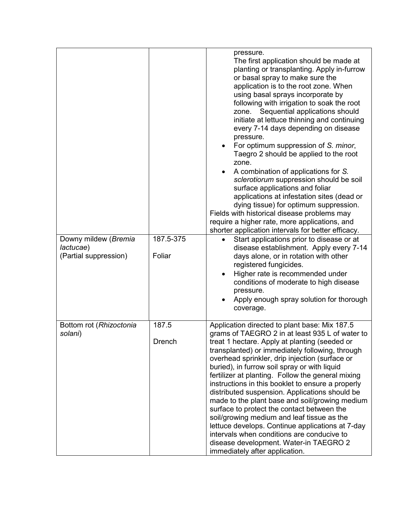| Downy mildew (Bremia<br>lactucae)<br>(Partial suppression) | 187.5-375<br>Foliar    | pressure.<br>The first application should be made at<br>planting or transplanting. Apply in-furrow<br>or basal spray to make sure the<br>application is to the root zone. When<br>using basal sprays incorporate by<br>following with irrigation to soak the root<br>Sequential applications should<br>zone.<br>initiate at lettuce thinning and continuing<br>every 7-14 days depending on disease<br>pressure.<br>For optimum suppression of S. minor,<br>Taegro 2 should be applied to the root<br>zone.<br>A combination of applications for S.<br>٠<br>sclerotiorum suppression should be soil<br>surface applications and foliar<br>applications at infestation sites (dead or<br>dying tissue) for optimum suppression.<br>Fields with historical disease problems may<br>require a higher rate, more applications, and<br>shorter application intervals for better efficacy.<br>Start applications prior to disease or at<br>$\bullet$<br>disease establishment. Apply every 7-14 |
|------------------------------------------------------------|------------------------|-------------------------------------------------------------------------------------------------------------------------------------------------------------------------------------------------------------------------------------------------------------------------------------------------------------------------------------------------------------------------------------------------------------------------------------------------------------------------------------------------------------------------------------------------------------------------------------------------------------------------------------------------------------------------------------------------------------------------------------------------------------------------------------------------------------------------------------------------------------------------------------------------------------------------------------------------------------------------------------------|
|                                                            |                        | days alone, or in rotation with other<br>registered fungicides.<br>Higher rate is recommended under<br>conditions of moderate to high disease<br>pressure.<br>Apply enough spray solution for thorough<br>coverage.                                                                                                                                                                                                                                                                                                                                                                                                                                                                                                                                                                                                                                                                                                                                                                       |
| Bottom rot (Rhizoctonia<br>solani)                         | 187.5<br><b>Drench</b> | Application directed to plant base: Mix 187.5<br>grams of TAEGRO 2 in at least 935 L of water to<br>treat 1 hectare. Apply at planting (seeded or<br>transplanted) or immediately following, through<br>overhead sprinkler, drip injection (surface or<br>buried), in furrow soil spray or with liquid<br>fertilizer at planting. Follow the general mixing<br>instructions in this booklet to ensure a properly<br>distributed suspension. Applications should be<br>made to the plant base and soil/growing medium<br>surface to protect the contact between the<br>soil/growing medium and leaf tissue as the<br>lettuce develops. Continue applications at 7-day<br>intervals when conditions are conducive to<br>disease development. Water-in TAEGRO 2<br>immediately after application.                                                                                                                                                                                            |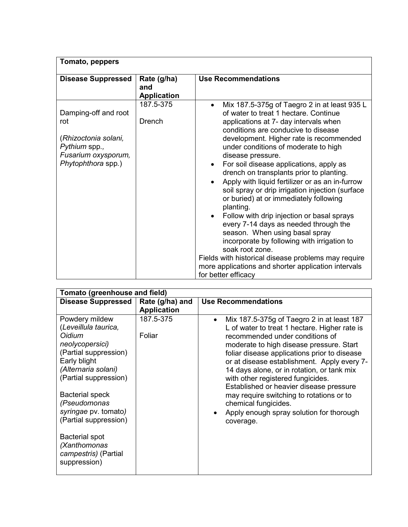| Tomato, peppers                                                                                                   |                                          |                                                                                                                                                                                                                                                                                                                                                                                                                                                                                                                                                                                                                                                                                                                                                                                                                                                                                 |
|-------------------------------------------------------------------------------------------------------------------|------------------------------------------|---------------------------------------------------------------------------------------------------------------------------------------------------------------------------------------------------------------------------------------------------------------------------------------------------------------------------------------------------------------------------------------------------------------------------------------------------------------------------------------------------------------------------------------------------------------------------------------------------------------------------------------------------------------------------------------------------------------------------------------------------------------------------------------------------------------------------------------------------------------------------------|
| <b>Disease Suppressed</b>                                                                                         | Rate (g/ha)<br>and<br><b>Application</b> | <b>Use Recommendations</b>                                                                                                                                                                                                                                                                                                                                                                                                                                                                                                                                                                                                                                                                                                                                                                                                                                                      |
| Damping-off and root<br>rot<br>(Rhizoctonia solani,<br>Pythium spp.,<br>Fusarium oxysporum,<br>Phytophthora spp.) | 187.5-375<br><b>Drench</b>               | Mix 187.5-375g of Taegro 2 in at least 935 L<br>$\bullet$<br>of water to treat 1 hectare, Continue<br>applications at 7- day intervals when<br>conditions are conducive to disease<br>development. Higher rate is recommended<br>under conditions of moderate to high<br>disease pressure.<br>For soil disease applications, apply as<br>drench on transplants prior to planting.<br>Apply with liquid fertilizer or as an in-furrow<br>soil spray or drip irrigation injection (surface<br>or buried) at or immediately following<br>planting.<br>Follow with drip injection or basal sprays<br>every 7-14 days as needed through the<br>season. When using basal spray<br>incorporate by following with irrigation to<br>soak root zone.<br>Fields with historical disease problems may require<br>more applications and shorter application intervals<br>for better efficacy |

| Tomato (greenhouse and field)                                                                                                       |                     |                                                                                                                                                                                                                                                                                                                                      |  |
|-------------------------------------------------------------------------------------------------------------------------------------|---------------------|--------------------------------------------------------------------------------------------------------------------------------------------------------------------------------------------------------------------------------------------------------------------------------------------------------------------------------------|--|
| <b>Disease Suppressed</b>                                                                                                           | Rate (g/ha) and     | <b>Use Recommendations</b>                                                                                                                                                                                                                                                                                                           |  |
|                                                                                                                                     | <b>Application</b>  |                                                                                                                                                                                                                                                                                                                                      |  |
| Powdery mildew<br>(Leveillula taurica,<br>Oidium<br>neolycopersici)<br>(Partial suppression)<br>Early blight<br>(Alternaria solani) | 187.5-375<br>Foliar | Mix 187.5-375g of Taegro 2 in at least 187<br>$\bullet$<br>L of water to treat 1 hectare. Higher rate is<br>recommended under conditions of<br>moderate to high disease pressure. Start<br>foliar disease applications prior to disease<br>or at disease establishment. Apply every 7-<br>14 days alone, or in rotation, or tank mix |  |
| (Partial suppression)<br><b>Bacterial speck</b><br>(Pseudomonas<br>syringae pv. tomato)<br>(Partial suppression)                    |                     | with other registered fungicides.<br>Established or heavier disease pressure<br>may require switching to rotations or to<br>chemical fungicides.<br>Apply enough spray solution for thorough<br>$\bullet$<br>coverage.                                                                                                               |  |
| Bacterial spot<br>(Xanthomonas<br>campestris) (Partial<br>suppression)                                                              |                     |                                                                                                                                                                                                                                                                                                                                      |  |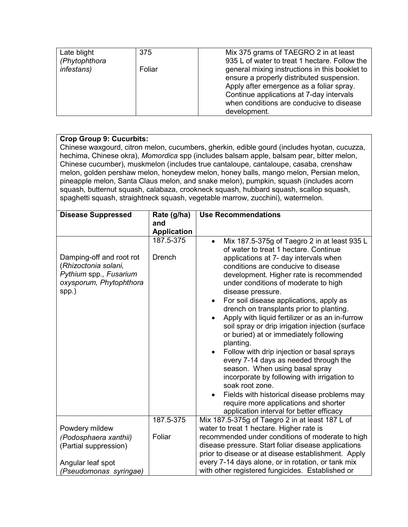| Late blight        | 375    | Mix 375 grams of TAEGRO 2 in at least          |
|--------------------|--------|------------------------------------------------|
| (Phytophthora      |        | 935 L of water to treat 1 hectare. Follow the  |
| <i>infestans</i> ) | Foliar | general mixing instructions in this booklet to |
|                    |        | ensure a properly distributed suspension.      |
|                    |        | Apply after emergence as a foliar spray.       |
|                    |        | Continue applications at 7-day intervals       |
|                    |        | when conditions are conducive to disease       |
|                    |        | development.                                   |

# **Crop Group 9: Cucurbits:**

Chinese waxgourd, citron melon, cucumbers, gherkin, edible gourd (includes hyotan, cucuzza, hechima, Chinese okra), *Momordica* spp (includes balsam apple, balsam pear, bitter melon, Chinese cucumber), muskmelon (includes true cantaloupe, cantaloupe, casaba, crenshaw melon, golden pershaw melon, honeydew melon, honey balls, mango melon, Persian melon, pineapple melon, Santa Claus melon, and snake melon), pumpkin, squash (includes acorn squash, butternut squash, calabaza, crookneck squash, hubbard squash, scallop squash, spaghetti squash, straightneck squash, vegetable marrow, zucchini), watermelon.

| <b>Disease Suppressed</b>                                                                                      | Rate (g/ha)                | <b>Use Recommendations</b>                                                                                                                                                                                                                                                                                                                                                                                                                                                                                                                                                                                                                                                                                                                                                                                                                                                             |
|----------------------------------------------------------------------------------------------------------------|----------------------------|----------------------------------------------------------------------------------------------------------------------------------------------------------------------------------------------------------------------------------------------------------------------------------------------------------------------------------------------------------------------------------------------------------------------------------------------------------------------------------------------------------------------------------------------------------------------------------------------------------------------------------------------------------------------------------------------------------------------------------------------------------------------------------------------------------------------------------------------------------------------------------------|
|                                                                                                                | and                        |                                                                                                                                                                                                                                                                                                                                                                                                                                                                                                                                                                                                                                                                                                                                                                                                                                                                                        |
|                                                                                                                |                            |                                                                                                                                                                                                                                                                                                                                                                                                                                                                                                                                                                                                                                                                                                                                                                                                                                                                                        |
|                                                                                                                | <b>Application</b>         |                                                                                                                                                                                                                                                                                                                                                                                                                                                                                                                                                                                                                                                                                                                                                                                                                                                                                        |
| Damping-off and root rot<br>(Rhizoctonia solani,<br>Pythium spp., Fusarium<br>oxysporum, Phytophthora<br>spp.) | 187.5-375<br><b>Drench</b> | Mix 187.5-375g of Taegro 2 in at least 935 L<br>$\bullet$<br>of water to treat 1 hectare. Continue<br>applications at 7- day intervals when<br>conditions are conducive to disease<br>development. Higher rate is recommended<br>under conditions of moderate to high<br>disease pressure.<br>For soil disease applications, apply as<br>$\bullet$<br>drench on transplants prior to planting.<br>Apply with liquid fertilizer or as an in-furrow<br>$\bullet$<br>soil spray or drip irrigation injection (surface<br>or buried) at or immediately following<br>planting.<br>Follow with drip injection or basal sprays<br>$\bullet$<br>every 7-14 days as needed through the<br>season. When using basal spray<br>incorporate by following with irrigation to<br>soak root zone.<br>Fields with historical disease problems may<br>$\bullet$<br>require more applications and shorter |
|                                                                                                                |                            | application interval for better efficacy                                                                                                                                                                                                                                                                                                                                                                                                                                                                                                                                                                                                                                                                                                                                                                                                                                               |
|                                                                                                                | 187.5-375                  | Mix 187.5-375g of Taegro 2 in at least 187 L of                                                                                                                                                                                                                                                                                                                                                                                                                                                                                                                                                                                                                                                                                                                                                                                                                                        |
| Powdery mildew                                                                                                 |                            | water to treat 1 hectare. Higher rate is                                                                                                                                                                                                                                                                                                                                                                                                                                                                                                                                                                                                                                                                                                                                                                                                                                               |
| (Podosphaera xanthii)                                                                                          | Foliar                     | recommended under conditions of moderate to high                                                                                                                                                                                                                                                                                                                                                                                                                                                                                                                                                                                                                                                                                                                                                                                                                                       |
| (Partial suppression)                                                                                          |                            | disease pressure. Start foliar disease applications                                                                                                                                                                                                                                                                                                                                                                                                                                                                                                                                                                                                                                                                                                                                                                                                                                    |
|                                                                                                                |                            | prior to disease or at disease establishment. Apply                                                                                                                                                                                                                                                                                                                                                                                                                                                                                                                                                                                                                                                                                                                                                                                                                                    |
| Angular leaf spot                                                                                              |                            | every 7-14 days alone, or in rotation, or tank mix                                                                                                                                                                                                                                                                                                                                                                                                                                                                                                                                                                                                                                                                                                                                                                                                                                     |
| (Pseudomonas syringae)                                                                                         |                            | with other registered fungicides. Established or                                                                                                                                                                                                                                                                                                                                                                                                                                                                                                                                                                                                                                                                                                                                                                                                                                       |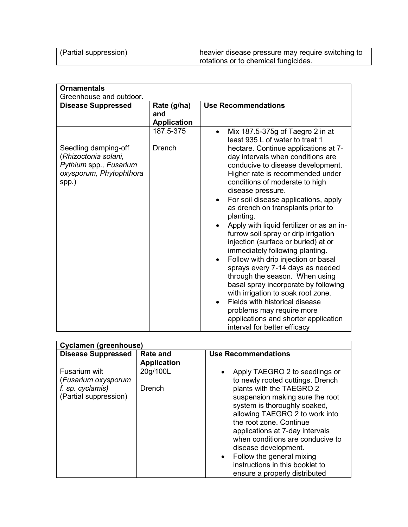| (Partial suppression) | heavier disease pressure may require switching to |
|-----------------------|---------------------------------------------------|
|                       | rotations or to chemical fungicides.              |

| <b>Ornamentals</b>                                                                                         |                                          |                                                                                                                                                                                                                                                                                                                                                                                                                                                                                                                                                                                                                                                                                                                                                                                                                                                                                          |  |
|------------------------------------------------------------------------------------------------------------|------------------------------------------|------------------------------------------------------------------------------------------------------------------------------------------------------------------------------------------------------------------------------------------------------------------------------------------------------------------------------------------------------------------------------------------------------------------------------------------------------------------------------------------------------------------------------------------------------------------------------------------------------------------------------------------------------------------------------------------------------------------------------------------------------------------------------------------------------------------------------------------------------------------------------------------|--|
| Greenhouse and outdoor.                                                                                    |                                          |                                                                                                                                                                                                                                                                                                                                                                                                                                                                                                                                                                                                                                                                                                                                                                                                                                                                                          |  |
| <b>Disease Suppressed</b>                                                                                  | Rate (g/ha)<br>and<br><b>Application</b> | <b>Use Recommendations</b>                                                                                                                                                                                                                                                                                                                                                                                                                                                                                                                                                                                                                                                                                                                                                                                                                                                               |  |
| Seedling damping-off<br>(Rhizoctonia solani,<br>Pythium spp., Fusarium<br>oxysporum, Phytophthora<br>spp.) | 187.5-375<br>Drench                      | Mix 187.5-375g of Taegro 2 in at<br>$\bullet$<br>least 935 L of water to treat 1<br>hectare. Continue applications at 7-<br>day intervals when conditions are<br>conducive to disease development.<br>Higher rate is recommended under<br>conditions of moderate to high<br>disease pressure.<br>For soil disease applications, apply<br>as drench on transplants prior to<br>planting.<br>Apply with liquid fertilizer or as an in-<br>furrow soil spray or drip irrigation<br>injection (surface or buried) at or<br>immediately following planting.<br>Follow with drip injection or basal<br>sprays every 7-14 days as needed<br>through the season. When using<br>basal spray incorporate by following<br>with irrigation to soak root zone.<br>Fields with historical disease<br>problems may require more<br>applications and shorter application<br>interval for better efficacy |  |

| <b>Cyclamen (greenhouse)</b>                                                      |                                       |                                                                                                                                                                   |
|-----------------------------------------------------------------------------------|---------------------------------------|-------------------------------------------------------------------------------------------------------------------------------------------------------------------|
| <b>Disease Suppressed</b>                                                         | <b>Rate and</b><br><b>Application</b> | <b>Use Recommendations</b>                                                                                                                                        |
| Fusarium wilt<br>(Fusarium oxysporum<br>f. sp. cyclamis)<br>(Partial suppression) | 20g/100L<br><b>Drench</b>             | Apply TAEGRO 2 to seedlings or<br>to newly rooted cuttings. Drench<br>plants with the TAEGRO 2<br>suspension making sure the root<br>system is thoroughly soaked, |
|                                                                                   |                                       | allowing TAEGRO 2 to work into<br>the root zone. Continue<br>applications at 7-day intervals<br>when conditions are conducive to<br>disease development.          |
|                                                                                   |                                       | Follow the general mixing<br>$\bullet$<br>instructions in this booklet to<br>ensure a properly distributed                                                        |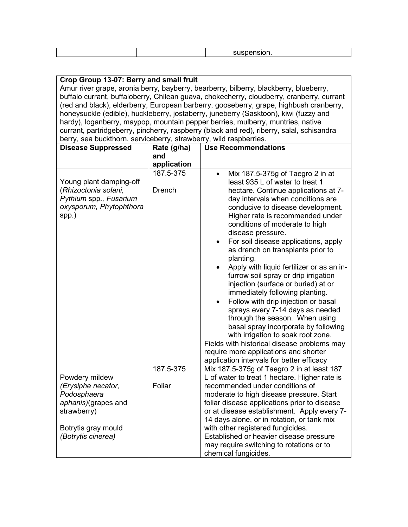|--|--|--|--|

| Crop Group 13-07: Berry and small fruit                                                   |               |                                                                                        |  |
|-------------------------------------------------------------------------------------------|---------------|----------------------------------------------------------------------------------------|--|
| Amur river grape, aronia berry, bayberry, bearberry, bilberry, blackberry, blueberry,     |               |                                                                                        |  |
| buffalo currant, buffaloberry, Chilean guava, chokecherry, cloudberry, cranberry, currant |               |                                                                                        |  |
|                                                                                           |               | (red and black), elderberry, European barberry, gooseberry, grape, highbush cranberry, |  |
|                                                                                           |               | honeysuckle (edible), huckleberry, jostaberry, juneberry (Sasktoon), kiwi (fuzzy and   |  |
| hardy), loganberry, maypop, mountain pepper berries, mulberry, muntries, native           |               |                                                                                        |  |
| currant, partridgeberry, pincherry, raspberry (black and red), riberry, salal, schisandra |               |                                                                                        |  |
| berry, sea buckthorn, serviceberry, strawberry, wild raspberries.                         |               |                                                                                        |  |
| <b>Disease Suppressed</b>                                                                 | Rate (g/ha)   | <b>Use Recommendations</b>                                                             |  |
|                                                                                           | and           |                                                                                        |  |
|                                                                                           | application   |                                                                                        |  |
|                                                                                           | 187.5-375     | Mix 187.5-375g of Taegro 2 in at<br>$\bullet$                                          |  |
| Young plant damping-off                                                                   |               | least 935 L of water to treat 1                                                        |  |
| (Rhizoctonia solani,                                                                      | <b>Drench</b> | hectare. Continue applications at 7-                                                   |  |
| Pythium spp., Fusarium                                                                    |               | day intervals when conditions are                                                      |  |
| oxysporum, Phytophthora                                                                   |               | conducive to disease development.                                                      |  |
| spp.)                                                                                     |               | Higher rate is recommended under                                                       |  |
|                                                                                           |               | conditions of moderate to high                                                         |  |
|                                                                                           |               | disease pressure.                                                                      |  |
|                                                                                           |               | For soil disease applications, apply                                                   |  |
|                                                                                           |               | as drench on transplants prior to                                                      |  |
|                                                                                           |               | planting.                                                                              |  |
|                                                                                           |               | Apply with liquid fertilizer or as an in-                                              |  |
|                                                                                           |               | furrow soil spray or drip irrigation                                                   |  |
|                                                                                           |               | injection (surface or buried) at or                                                    |  |
|                                                                                           |               | immediately following planting.                                                        |  |
|                                                                                           |               | Follow with drip injection or basal                                                    |  |
|                                                                                           |               | sprays every 7-14 days as needed                                                       |  |
|                                                                                           |               |                                                                                        |  |
|                                                                                           |               | through the season. When using                                                         |  |
|                                                                                           |               | basal spray incorporate by following                                                   |  |
|                                                                                           |               | with irrigation to soak root zone.                                                     |  |
|                                                                                           |               | Fields with historical disease problems may                                            |  |
|                                                                                           |               | require more applications and shorter                                                  |  |
|                                                                                           |               | application intervals for better efficacy                                              |  |
|                                                                                           | 187.5-375     | Mix 187.5-375g of Taegro 2 in at least 187                                             |  |
| Powdery mildew                                                                            |               | L of water to treat 1 hectare. Higher rate is                                          |  |
| (Erysiphe necator,                                                                        | Foliar        | recommended under conditions of                                                        |  |
| Podosphaera                                                                               |               | moderate to high disease pressure. Start                                               |  |
| aphanis)(grapes and                                                                       |               | foliar disease applications prior to disease                                           |  |
| strawberry)                                                                               |               | or at disease establishment. Apply every 7-                                            |  |
|                                                                                           |               | 14 days alone, or in rotation, or tank mix                                             |  |
| Botrytis gray mould                                                                       |               | with other registered fungicides.                                                      |  |
| (Botrytis cinerea)                                                                        |               | Established or heavier disease pressure                                                |  |
|                                                                                           |               | may require switching to rotations or to                                               |  |
|                                                                                           |               | chemical fungicides.                                                                   |  |